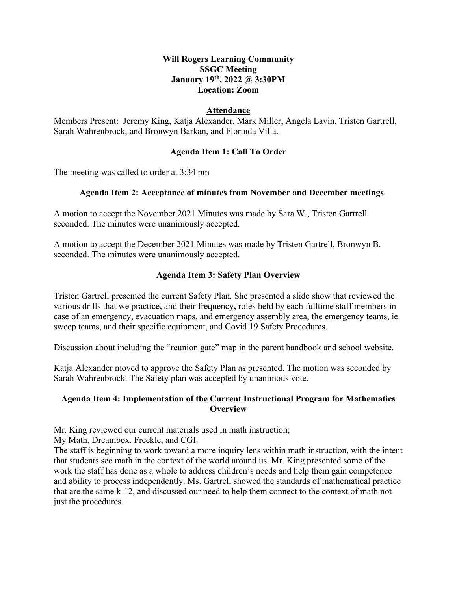# **January 19th, 2022 @ 3:30PM Will Rogers Learning Community SSGC Meeting Location: Zoom**

## **Attendance**

 Members Present: Jeremy King, Katja Alexander, Mark Miller, Angela Lavin, Tristen Gartrell, Sarah Wahrenbrock, and Bronwyn Barkan, and Florinda Villa.

# **Agenda Item 1: Call To Order**

The meeting was called to order at 3:34 pm

#### **Agenda Item 2: Acceptance of minutes from November and December meetings**

A motion to accept the November 2021 Minutes was made by Sara W., Tristen Gartrell seconded. The minutes were unanimously accepted.

A motion to accept the December 2021 Minutes was made by Tristen Gartrell, Bronwyn B. seconded. The minutes were unanimously accepted.

#### **Agenda Item 3: Safety Plan Overview**

 Tristen Gartrell presented the current Safety Plan. She presented a slide show that reviewed the various drills that we practice**,** and their frequency**,** roles held by each fulltime staff members in case of an emergency, evacuation maps, and emergency assembly area, the emergency teams, ie sweep teams, and their specific equipment, and Covid 19 Safety Procedures.

Discussion about including the "reunion gate" map in the parent handbook and school website.

Katja Alexander moved to approve the Safety Plan as presented. The motion was seconded by Sarah Wahrenbrock. The Safety plan was accepted by unanimous vote.

# **Agenda Item 4: Implementation of the Current Instructional Program for Mathematics Overview**

Mr. King reviewed our current materials used in math instruction; My Math, Dreambox, Freckle, and CGI.

 The staff is beginning to work toward a more inquiry lens within math instruction, with the intent that students see math in the context of the world around us. Mr. King presented some of the work the staff has done as a whole to address children's needs and help them gain competence and ability to process independently. Ms. Gartrell showed the standards of mathematical practice that are the same k-12, and discussed our need to help them connect to the context of math not just the procedures.